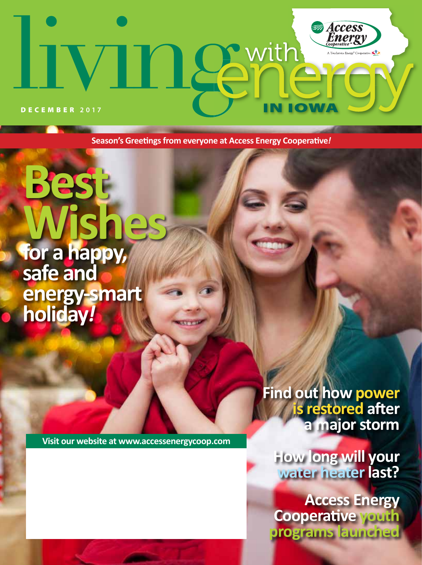# **Access**<br>Energy 1 Semith  $\star$ IN IOW DECEMBER **2017**

**Season's Greetings from everyone at Access Energy Cooperative***!*

**Wishes for a happy, safe and energy-smart holiday***!*

**Best** 

**Visit our website at www.accessenergycoop.com**

**Find out how power is restored after a major storm**

**How long will your water heater last?**

**Access Energy Cooperative youth programs launched**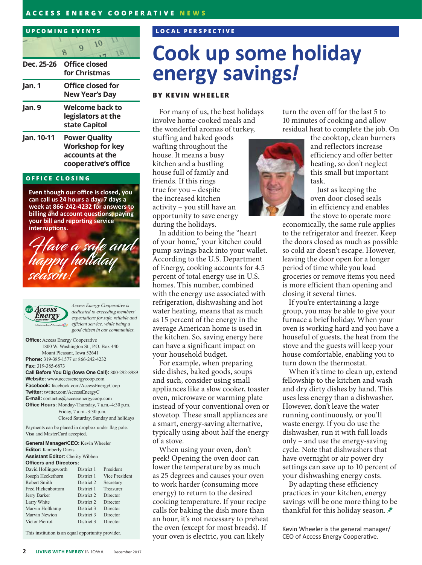#### **ACCESS ENERGY COOPERATIVE NEWS**

# **UPCOMING EVENTS**

|        | Dec. 25-26 Office closed<br>for Christmas |  |                          |  |  |
|--------|-------------------------------------------|--|--------------------------|--|--|
| Jan. 1 |                                           |  | <b>Office closed for</b> |  |  |

|        | <b>New Year's Day</b>                                  |
|--------|--------------------------------------------------------|
| Jan. 9 | Welcome back to<br>legislators at the<br>state Capitol |
|        |                                                        |

**Jan. 10-11 Power Quality Workshop for key accounts at the cooperative's office**

#### **OFFICE CLOSING**

**Even though our office is closed, you can call us 24 hours a day, 7 days a week at 866-242-4232 for answers to billing and account questions, paying your bill and reporting service interruptions.**





*Access Energy Cooperative is dedicated to exceeding members' expectations for safe, reliable and efficient service, while being a good citizen in our communities.*

**Office:** Access Energy Cooperative 1800 W. Washington St., P.O. Box 440 Mount Pleasant, Iowa 52641 **Phone:** 319-385-1577 or 866-242-4232 **Fax:** 319-385-6873 **Call Before You Dig (Iowa One Call):** 800-292-8989

**Website:** www.accessenergycoop.com **Facebook:** facebook.com/AccessEnergyCoop **Twitter:** twitter.com/AccessEnergyC **E-mail:** contactus@accessenergycoop.com **Office Hours:** Monday-Thursday, 7 a.m.-4:30 p.m. Friday, 7 a.m.-3:30 p.m. Closed Saturday, Sunday and holidays

Payments can be placed in dropbox under flag pole. Visa and MasterCard accepted.

**General Manager/CEO:** Kevin Wheeler **Editor:** Kimberly Davis **Assistant Editor:** Cherity Wibben **Officers and Directors:**

| David Hollingsworth      | District 1 | President      |
|--------------------------|------------|----------------|
| Joseph Heckethorn        | District 1 | Vice President |
| Robert Smith             | District 2 | Secretary      |
| <b>Fred Hickenbottom</b> | District 1 | Treasurer      |
| Jerry Barker             | District 2 | Director       |
| Larry White              | District 2 | Director       |
| Marvin Holtkamp          | District 3 | Director       |
| Marvin Newton            | District 3 | Director       |
| Victor Pierrot           | District 3 | Director       |
|                          |            |                |

This institution is an equal opportunity provider.

### **LOCAL PERSPECTIVE**

# **Cook up some holiday energy savings***!*

### **BY KEVIN WHEELER**

For many of us, the best holidays involve home-cooked meals and the wonderful aromas of turkey,

stuffing and baked goods wafting throughout the house. It means a busy kitchen and a bustling house full of family and friends. If this rings true for you – despite the increased kitchen activity – you still have an opportunity to save energy during the holidays.

In addition to being the "heart of your home," your kitchen could pump savings back into your wallet. According to the U.S. Department of Energy, cooking accounts for 4.5 percent of total energy use in U.S. homes. This number, combined with the energy use associated with refrigeration, dishwashing and hot water heating, means that as much as 15 percent of the energy in the average American home is used in the kitchen. So, saving energy here can have a significant impact on your household budget.

For example, when preparing side dishes, baked goods, soups and such, consider using small appliances like a slow cooker, toaster oven, microwave or warming plate instead of your conventional oven or stovetop. These small appliances are a smart, energy-saving alternative, typically using about half the energy of a stove.

When using your oven, don't peek! Opening the oven door can lower the temperature by as much as 25 degrees and causes your oven to work harder (consuming more energy) to return to the desired cooking temperature. If your recipe calls for baking the dish more than an hour, it's not necessary to preheat the oven (except for most breads). If your oven is electric, you can likely

turn the oven off for the last 5 to 10 minutes of cooking and allow residual heat to complete the job. On



the cooktop, clean burners and reflectors increase efficiency and offer better heating, so don't neglect this small but important task.

Just as keeping the oven door closed seals in efficiency and enables the stove to operate more

economically, the same rule applies to the refrigerator and freezer. Keep the doors closed as much as possible so cold air doesn't escape. However, leaving the door open for a longer period of time while you load groceries or remove items you need is more efficient than opening and closing it several times.

If you're entertaining a large group, you may be able to give your furnace a brief holiday. When your oven is working hard and you have a houseful of guests, the heat from the stove and the guests will keep your house comfortable, enabling you to turn down the thermostat.

When it's time to clean up, extend fellowship to the kitchen and wash and dry dirty dishes by hand. This uses less energy than a dishwasher. However, don't leave the water running continuously, or you'll waste energy. If you do use the dishwasher, run it with full loads only – and use the energy-saving cycle. Note that dishwashers that have overnight or air power dry settings can save up to 10 percent of your dishwashing energy costs.

By adapting these efficiency practices in your kitchen, energy savings will be one more thing to be thankful for this holiday season.  $\blacktriangleright$ 

Kevin Wheeler is the general manager/ CEO of Access Energy Cooperative.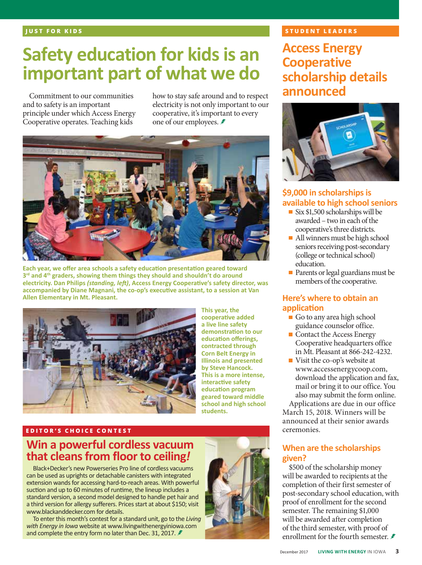# **Safety education for kids is an important part of what we do**

Commitment to our communities and to safety is an important principle under which Access Energy Cooperative operates. Teaching kids

how to stay safe around and to respect electricity is not only important to our cooperative, it's important to every one of our employees.



**Each year, we offer area schools a safety education presentation geared toward 3rd and 4th graders, showing them things they should and shouldn't do around electricity. Dan Philips** *(standing, left)***, Access Energy Cooperative's safety director, was accompanied by Diane Magnani, the co-op's executive assistant, to a session at Van Allen Elementary in Mt. Pleasant.**



**This year, the cooperative added a live line safety demonstration to our education offerings, contracted through Corn Belt Energy in Illinois and presented by Steve Hancock. This is a more intense, interactive safety education program geared toward middle school and high school students.**

#### **EDITOR'S CHOICE CONTEST**

# **Win a powerful cordless vacuum that cleans from floor to ceiling***!*

Black+Decker's new Powerseries Pro line of cordless vacuums can be used as uprights or detachable canisters with integrated extension wands for accessing hard-to-reach areas. With powerful suction and up to 60 minutes of runtime, the lineup includes a standard version, a second model designed to handle pet hair and a third version for allergy sufferers. Prices start at about \$150; visit www.blackanddecker.com for details.

To enter this month's contest for a standard unit, go to the *Living with Energy in Iowa* website at www.livingwithenergyiniowa.com and complete the entry form no later than Dec. 31, 2017. *≸* 



## **STUDENT LEADERS**

**Access Energy Cooperative scholarship details announced**



# **\$9,000 in scholarships is available to high school seniors**

- Six \$1,500 scholarships will be awarded – two in each of the cooperative's three districts.
- All winners must be high school seniors receiving post-secondary (college or technical school) education.
- Parents or legal guardians must be members of the cooperative.

## **Here's where to obtain an application**

- Go to any area high school guidance counselor office.
- Contact the Access Energy Cooperative headquarters office in Mt. Pleasant at 866-242-4232.
- Visit the co-op's website at www.accessenergycoop.com, download the application and fax, mail or bring it to our office. You also may submit the form online.

Applications are due in our office March 15, 2018. Winners will be announced at their senior awards ceremonies.

## **When are the scholarships given?**

\$500 of the scholarship money will be awarded to recipients at the completion of their first semester of post-secondary school education, with proof of enrollment for the second semester. The remaining \$1,000 will be awarded after completion of the third semester, with proof of enrollment for the fourth semester.  $\neq$